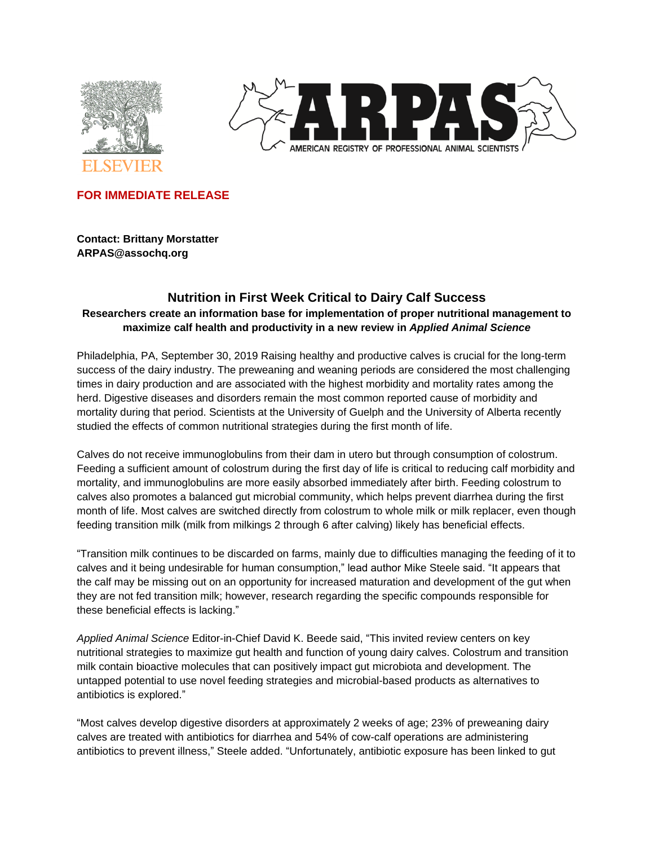



**FOR IMMEDIATE RELEASE**

**Contact: Brittany Morstatter ARPAS@assochq.org**

# **Nutrition in First Week Critical to Dairy Calf Success Researchers create an information base for implementation of proper nutritional management to maximize calf health and productivity in a new review in** *Applied Animal Science*

Philadelphia, PA, September 30, 2019 Raising healthy and productive calves is crucial for the long-term success of the dairy industry. The preweaning and weaning periods are considered the most challenging times in dairy production and are associated with the highest morbidity and mortality rates among the herd. Digestive diseases and disorders remain the most common reported cause of morbidity and mortality during that period. Scientists at the University of Guelph and the University of Alberta recently studied the effects of common nutritional strategies during the first month of life.

Calves do not receive immunoglobulins from their dam in utero but through consumption of colostrum. Feeding a sufficient amount of colostrum during the first day of life is critical to reducing calf morbidity and mortality, and immunoglobulins are more easily absorbed immediately after birth. Feeding colostrum to calves also promotes a balanced gut microbial community, which helps prevent diarrhea during the first month of life. Most calves are switched directly from colostrum to whole milk or milk replacer, even though feeding transition milk (milk from milkings 2 through 6 after calving) likely has beneficial effects.

"Transition milk continues to be discarded on farms, mainly due to difficulties managing the feeding of it to calves and it being undesirable for human consumption," lead author Mike Steele said. "It appears that the calf may be missing out on an opportunity for increased maturation and development of the gut when they are not fed transition milk; however, research regarding the specific compounds responsible for these beneficial effects is lacking."

*Applied Animal Science* Editor-in-Chief David K. Beede said, "This invited review centers on key nutritional strategies to maximize gut health and function of young dairy calves. Colostrum and transition milk contain bioactive molecules that can positively impact gut microbiota and development. The untapped potential to use novel feeding strategies and microbial-based products as alternatives to antibiotics is explored."

"Most calves develop digestive disorders at approximately 2 weeks of age; 23% of preweaning dairy calves are treated with antibiotics for diarrhea and 54% of cow-calf operations are administering antibiotics to prevent illness," Steele added. "Unfortunately, antibiotic exposure has been linked to gut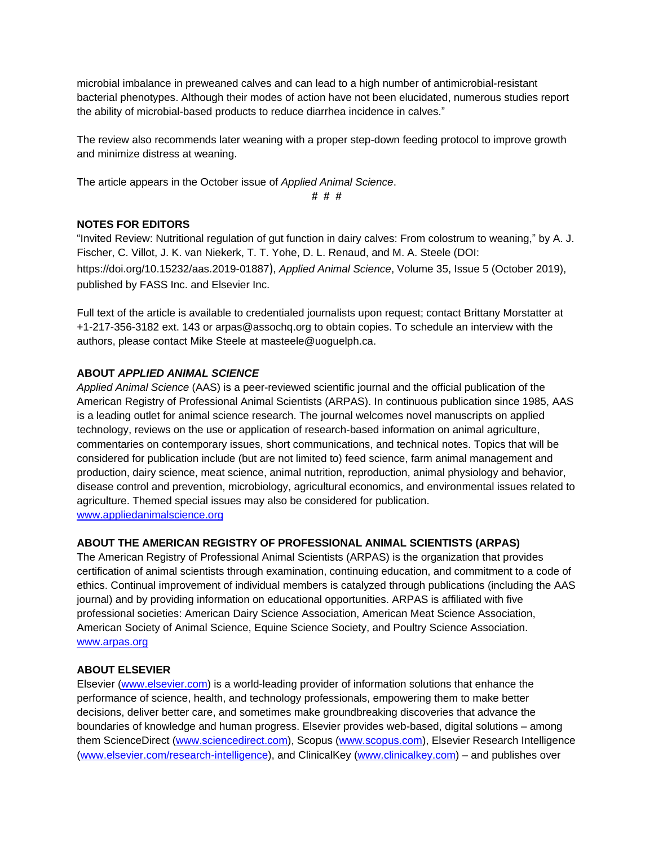microbial imbalance in preweaned calves and can lead to a high number of antimicrobial-resistant bacterial phenotypes. Although their modes of action have not been elucidated, numerous studies report the ability of microbial-based products to reduce diarrhea incidence in calves."

The review also recommends later weaning with a proper step-down feeding protocol to improve growth and minimize distress at weaning.

The article appears in the October issue of *Applied Animal Science*.

**# # #**

## **NOTES FOR EDITORS**

"Invited Review: Nutritional regulation of gut function in dairy calves: From colostrum to weaning," by A. J. Fischer, C. Villot, J. K. van Niekerk, T. T. Yohe, D. L. Renaud, and M. A. Steele (DOI: https://doi.org/10.15232/aas.2019-01887), *Applied Animal Science*, Volume 35, Issue 5 (October 2019), published by FASS Inc. and Elsevier Inc.

Full text of the article is available to credentialed journalists upon request; contact Brittany Morstatter at +1-217-356-3182 ext. 143 or arpas@assochq.org to obtain copies. To schedule an interview with the authors, please contact Mike Steele at masteele@uoguelph.ca.

## **ABOUT** *APPLIED ANIMAL SCIENCE*

*Applied Animal Science* (AAS) is a peer-reviewed scientific journal and the official publication of the American Registry of Professional Animal Scientists (ARPAS). In continuous publication since 1985, AAS is a leading outlet for animal science research. The journal welcomes novel manuscripts on applied technology, reviews on the use or application of research-based information on animal agriculture, commentaries on contemporary issues, short communications, and technical notes. Topics that will be considered for publication include (but are not limited to) feed science, farm animal management and production, dairy science, meat science, animal nutrition, reproduction, animal physiology and behavior, disease control and prevention, microbiology, agricultural economics, and environmental issues related to agriculture. Themed special issues may also be considered for publication. [www.appliedanimalscience.org](http://www.appliedanimalscience.org/)

### **ABOUT THE AMERICAN REGISTRY OF PROFESSIONAL ANIMAL SCIENTISTS (ARPAS)**

The American Registry of Professional Animal Scientists (ARPAS) is the organization that provides certification of animal scientists through examination, continuing education, and commitment to a code of ethics. Continual improvement of individual members is catalyzed through publications (including the AAS journal) and by providing information on educational opportunities. ARPAS is affiliated with five professional societies: American Dairy Science Association, American Meat Science Association, American Society of Animal Science, Equine Science Society, and Poultry Science Association. [www.arpas.org](http://www.arpas.org/)

### **ABOUT ELSEVIER**

Elsevier [\(www.elsevier.com\)](http://www.elsevier.com/) is a world-leading provider of information solutions that enhance the performance of science, health, and technology professionals, empowering them to make better decisions, deliver better care, and sometimes make groundbreaking discoveries that advance the boundaries of knowledge and human progress. Elsevier provides web-based, digital solutions – among them ScienceDirect [\(www.sciencedirect.com\)](http://www.sciencedirect.com/), Scopus [\(www.scopus.com\)](http://www.scopus.com/), Elsevier Research Intelligence [\(www.elsevier.com/research-intelligence\)](http://www.elsevier.com/research-intelligence), and ClinicalKey [\(www.clinicalkey.com\)](http://www.clinicalkey.com/) – and publishes over